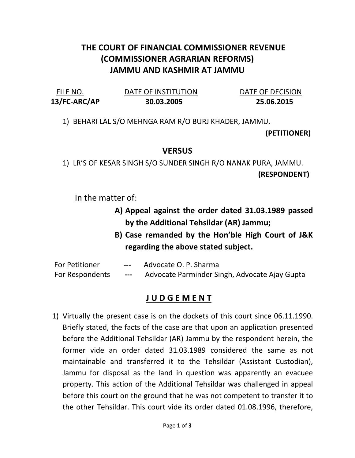## THE COURT OF FINANCIAL COMMISSIONER REVENUE (COMMISSIONER AGRARIAN REFORMS) JAMMU AND KASHMIR AT JAMMU

13/FC-ARC/AP 30.03.2005 25.06.2015

FILE NO. DATE OF INSTITUTION DATE OF DECISION

1) BEHARI LAL S/O MEHNGA RAM R/O BURJ KHADER, JAMMU.

(PETITIONER)

## **VERSUS**

1) LR'S OF KESAR SINGH S/O SUNDER SINGH R/O NANAK PURA, JAMMU. (RESPONDENT)

In the matter of:

- A) Appeal against the order dated 31.03.1989 passed by the Additional Tehsildar (AR) Jammu;
- B) Case remanded by the Hon'ble High Court of J&K regarding the above stated subject.

| <b>For Petitioner</b>  | $---$ | Advocate O. P. Sharma                         |
|------------------------|-------|-----------------------------------------------|
| <b>For Respondents</b> | $---$ | Advocate Parminder Singh, Advocate Ajay Gupta |

## J U D G E M E N T

1) Virtually the present case is on the dockets of this court since 06.11.1990. Briefly stated, the facts of the case are that upon an application presented before the Additional Tehsildar (AR) Jammu by the respondent herein, the former vide an order dated 31.03.1989 considered the same as not maintainable and transferred it to the Tehsildar (Assistant Custodian), Jammu for disposal as the land in question was apparently an evacuee property. This action of the Additional Tehsildar was challenged in appeal before this court on the ground that he was not competent to transfer it to the other Tehsildar. This court vide its order dated 01.08.1996, therefore,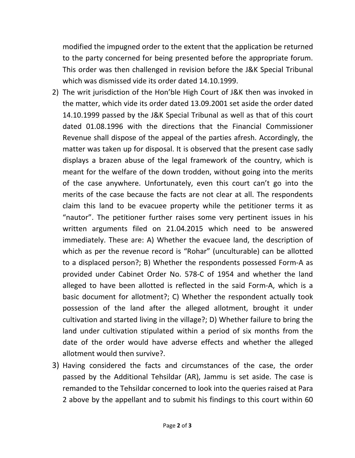modified the impugned order to the extent that the application be returned to the party concerned for being presented before the appropriate forum. This order was then challenged in revision before the J&K Special Tribunal which was dismissed vide its order dated 14.10.1999.

- 2) The writ jurisdiction of the Hon'ble High Court of J&K then was invoked in the matter, which vide its order dated 13.09.2001 set aside the order dated 14.10.1999 passed by the J&K Special Tribunal as well as that of this court dated 01.08.1996 with the directions that the Financial Commissioner Revenue shall dispose of the appeal of the parties afresh. Accordingly, the matter was taken up for disposal. It is observed that the present case sadly displays a brazen abuse of the legal framework of the country, which is meant for the welfare of the down trodden, without going into the merits of the case anywhere. Unfortunately, even this court can't go into the merits of the case because the facts are not clear at all. The respondents claim this land to be evacuee property while the petitioner terms it as "nautor". The petitioner further raises some very pertinent issues in his written arguments filed on 21.04.2015 which need to be answered immediately. These are: A) Whether the evacuee land, the description of which as per the revenue record is "Rohar" (unculturable) can be allotted to a displaced person?; B) Whether the respondents possessed Form-A as provided under Cabinet Order No. 578-C of 1954 and whether the land alleged to have been allotted is reflected in the said Form-A, which is a basic document for allotment?; C) Whether the respondent actually took possession of the land after the alleged allotment, brought it under cultivation and started living in the village?; D) Whether failure to bring the land under cultivation stipulated within a period of six months from the date of the order would have adverse effects and whether the alleged allotment would then survive?.
- 3) Having considered the facts and circumstances of the case, the order passed by the Additional Tehsildar (AR), Jammu is set aside. The case is remanded to the Tehsildar concerned to look into the queries raised at Para 2 above by the appellant and to submit his findings to this court within 60